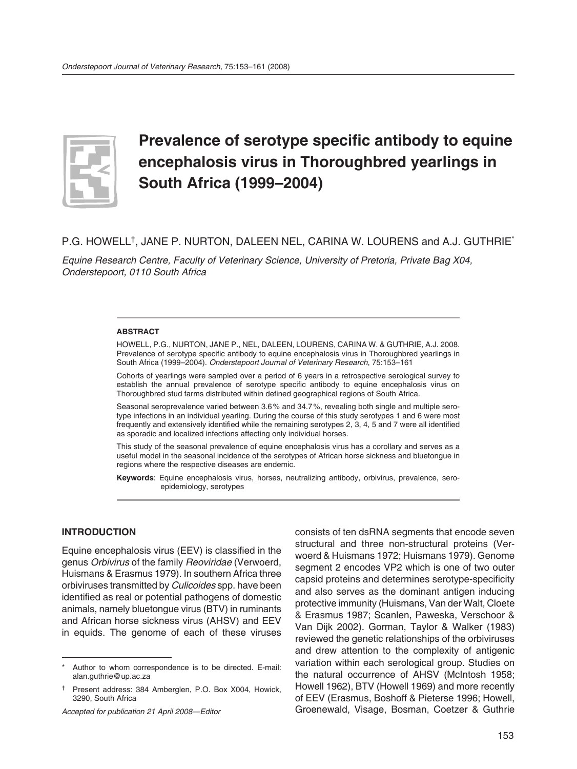

# **Prevalence of serotype specific antibody to equine encephalosis virus in Thoroughbred yearlings in South Africa (1999–2004)**

# P.G. HOWELL†, JANE P. NURTON, DALEEN NEL, CARINA W. LOURENS and A.J. GUTHRIE\*

*Equine Research Centre, Faculty of Veterinary Science, University of Pretoria, Private Bag X04, Onderstepoort, 0110 South Africa*

#### **ABSTRACT**

HOWELL, P.G., NURTON, JANE P., NEL, DALEEN, LOURENS, CARINA W. & GUTHRIE, A.J. 2008. Prevalence of serotype specific antibody to equine encephalosis virus in Thoroughbred yearlings in South Africa (1999–2004). *Onderstepoort Journal of Veterinary Research*, 75:153–161

Cohorts of yearlings were sampled over a period of 6 years in a retrospective serological survey to establish the annual prevalence of serotype specific antibody to equine encephalosis virus on Thoroughbred stud farms distributed within defined geographical regions of South Africa.

Seasonal seroprevalence varied between 3.6 % and 34.7 %, revealing both single and multiple serotype infections in an individual yearling. During the course of this study serotypes 1 and 6 were most frequently and extensively identified while the remaining serotypes 2, 3, 4, 5 and 7 were all identified as sporadic and localized infections affecting only individual horses.

This study of the seasonal prevalence of equine encephalosis virus has a corollary and serves as a useful model in the seasonal incidence of the serotypes of African horse sickness and bluetongue in regions where the respective diseases are endemic.

**Keywords**: Equine encephalosis virus, horses, neutralizing antibody, orbivirus, prevalence, seroepidemiology, serotypes

### **INTRODUCTION**

Equine encephalosis virus (EEV) is classified in the genus *Orbivirus* of the family *Reoviridae* (Verwoerd, Huismans & Erasmus 1979). In southern Africa three orbiviruses transmitted by *Culicoides* spp. have been identified as real or potential pathogens of domestic animals, namely bluetongue virus (BTV) in ruminants and African horse sickness virus (AHSV) and EEV in equids. The genome of each of these viruses

*Accepted for publication 21 April 2008—Editor*

consists of ten dsRNA segments that encode seven structural and three non-structural proteins (Verwoerd & Huismans 1972; Huismans 1979). Genome segment 2 encodes VP2 which is one of two outer capsid proteins and determines serotype-specificity and also serves as the dominant antigen inducing protective immunity (Huismans, Van der Walt, Cloete & Erasmus 1987; Scanlen, Paweska, Verschoor & Van Dijk 2002). Gorman, Taylor & Walker (1983) reviewed the genetic relationships of the orbiviruses and drew attention to the complexity of antigenic variation within each serological group. Studies on the natural occurrence of AHSV (McIntosh 1958; Howell 1962), BTV (Howell 1969) and more recently of EEV (Erasmus, Boshoff & Pieterse 1996; Howell, Groenewald, Visage, Bosman, Coetzer & Guthrie

Author to whom correspondence is to be directed. E-mail: alan.guthrie@up.ac.za

<sup>†</sup> Present address: 384 Amberglen, P.O. Box X004, Howick, 3290, South Africa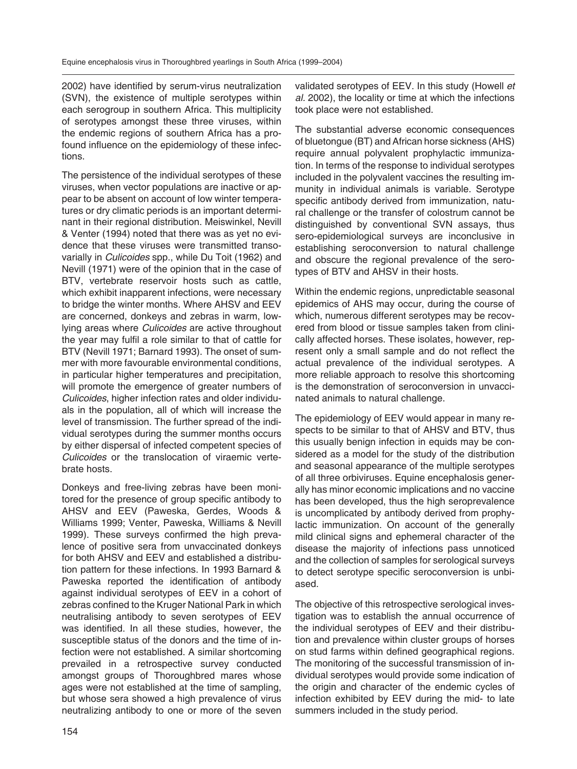2002) have identified by serum-virus neutralization (SVN), the existence of multiple serotypes within each serogroup in southern Africa. This multiplicity of serotypes amongst these three viruses, within the endemic regions of southern Africa has a profound influence on the epidemiology of these infections.

The persistence of the individual serotypes of these viruses, when vector populations are inactive or appear to be absent on account of low winter temperatures or dry climatic periods is an important determinant in their regional distribution. Meiswinkel, Nevill & Venter (1994) noted that there was as yet no evidence that these viruses were transmitted transovarially in *Culicoides* spp., while Du Toit (1962) and Nevill (1971) were of the opinion that in the case of BTV, vertebrate reservoir hosts such as cattle, which exhibit inapparent infections, were necessary to bridge the winter months. Where AHSV and EEV are concerned, donkeys and zebras in warm, lowlying areas where *Culicoides* are active throughout the year may fulfil a role similar to that of cattle for BTV (Nevill 1971; Barnard 1993). The onset of summer with more favourable environmental conditions, in particular higher temperatures and precipitation, will promote the emergence of greater numbers of *Culicoides*, higher infection rates and older individuals in the population, all of which will increase the level of transmission. The further spread of the individual serotypes during the summer months occurs by either dispersal of infected competent species of *Culicoides* or the translocation of viraemic vertebrate hosts.

Donkeys and free-living zebras have been monitored for the presence of group specific antibody to AHSV and EEV (Paweska, Gerdes, Woods & Williams 1999; Venter, Paweska, Williams & Nevill 1999). These surveys confirmed the high prevalence of positive sera from unvaccinated donkeys for both AHSV and EEV and established a distribution pattern for these infections. In 1993 Barnard & Paweska reported the identification of antibody against individual serotypes of EEV in a cohort of zebras confined to the Kruger National Park in which neutralising antibody to seven serotypes of EEV was identified. In all these studies, however, the susceptible status of the donors and the time of infection were not established. A similar shortcoming prevailed in a retrospective survey conducted amongst groups of Thoroughbred mares whose ages were not established at the time of sampling, but whose sera showed a high prevalence of virus neutralizing antibody to one or more of the seven

validated serotypes of EEV. In this study (Howell *et al.* 2002), the locality or time at which the infections took place were not established.

The substantial adverse economic consequences of bluetongue (BT) and African horse sickness (AHS) require annual polyvalent prophylactic immunization. In terms of the response to individual serotypes included in the polyvalent vaccines the resulting immunity in individual animals is variable. Serotype specific antibody derived from immunization, natural challenge or the transfer of colostrum cannot be distinguished by conventional SVN assays, thus sero-epidemiological surveys are inconclusive in establishing seroconversion to natural challenge and obscure the regional prevalence of the serotypes of BTV and AHSV in their hosts.

Within the endemic regions, unpredictable seasonal epidemics of AHS may occur, during the course of which, numerous different serotypes may be recovered from blood or tissue samples taken from clinically affected horses. These isolates, however, represent only a small sample and do not reflect the actual prevalence of the individual serotypes. A more reliable approach to resolve this shortcoming is the demonstration of seroconversion in unvaccinated animals to natural challenge.

The epidemiology of EEV would appear in many respects to be similar to that of AHSV and BTV, thus this usually benign infection in equids may be considered as a model for the study of the distribution and seasonal appearance of the multiple serotypes of all three orbiviruses*.* Equine encephalosis generally has minor economic implications and no vaccine has been developed, thus the high seroprevalence is uncomplicated by antibody derived from prophylactic immunization. On account of the generally mild clinical signs and ephemeral character of the disease the majority of infections pass unnoticed and the collection of samples for serological surveys to detect serotype specific seroconversion is unbiased.

The objective of this retrospective serological investigation was to establish the annual occurrence of the individual serotypes of EEV and their distribution and prevalence within cluster groups of horses on stud farms within defined geographical regions. The monitoring of the successful transmission of individual serotypes would provide some indication of the origin and character of the endemic cycles of infection exhibited by EEV during the mid- to late summers included in the study period.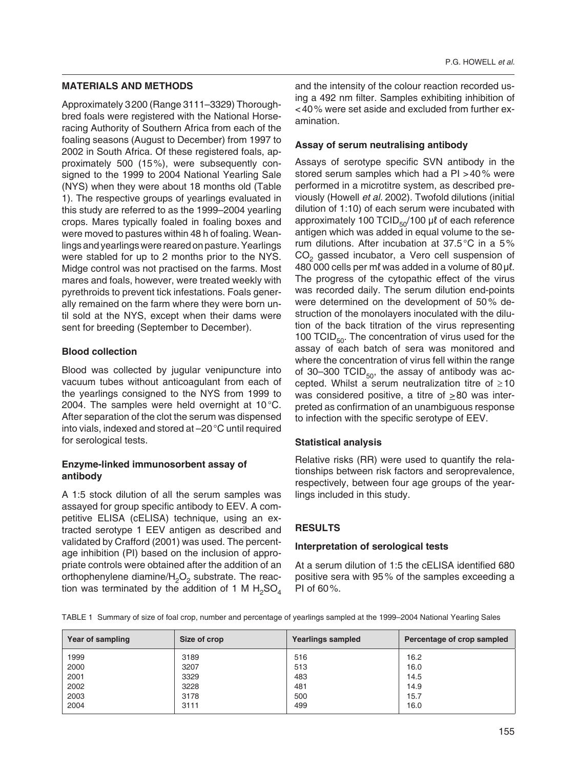### **MATERIALS AND METHODS**

Approximately 3 200 (Range 3111–3329) Thoroughbred foals were registered with the National Horseracing Authority of Southern Africa from each of the foaling seasons (August to December) from 1997 to 2002 in South Africa. Of these registered foals, approximately 500 (15 %), were subsequently consigned to the 1999 to 2004 National Yearling Sale (NYS) when they were about 18 months old (Table 1). The respective groups of yearlings evaluated in this study are referred to as the 1999–2004 yearling crops. Mares typically foaled in foaling boxes and were moved to pastures within 48 h of foaling. Weanlings and yearlings were reared on pasture. Yearlings were stabled for up to 2 months prior to the NYS. Midge control was not practised on the farms. Most mares and foals, however, were treated weekly with pyrethroids to prevent tick infestations. Foals generally remained on the farm where they were born until sold at the NYS, except when their dams were sent for breeding (September to December).

### **Blood collection**

Blood was collected by jugular venipuncture into vacuum tubes without anticoagulant from each of the yearlings consigned to the NYS from 1999 to 2004. The samples were held overnight at  $10^{\circ}$ C. After separation of the clot the serum was dispensed into vials, indexed and stored at –20 °C until required for serological tests.

### **Enzyme-linked immunosorbent assay of antibody**

A 1:5 stock dilution of all the serum samples was assayed for group specific antibody to EEV. A competitive ELISA (cELISA) technique, using an extracted serotype 1 EEV antigen as described and validated by Crafford (2001) was used. The percentage inhibition (PI) based on the inclusion of appropriate controls were obtained after the addition of an orthophenylene diamine/ $H_2O_2$  substrate. The reaction was terminated by the addition of 1 M  $H_2SO_4$  and the intensity of the colour reaction recorded using a 492 nm filter. Samples exhibiting inhibition of < 40 % were set aside and excluded from further examination.

#### **Assay of serum neutralising antibody**

Assays of serotype specific SVN antibody in the stored serum samples which had a PI > 40 % were performed in a microtitre system, as described previously (Howell *et al.* 2002). Twofold dilutions (initial dilution of 1:10) of each serum were incubated with approximately 100 TCID $_{50}$ /100 μl of each reference antigen which was added in equal volume to the serum dilutions. After incubation at 37.5 °C in a 5 % CO<sub>2</sub> gassed incubator, a Vero cell suspension of 480 000 cells per mℓ was added in a volume of 80 μℓ. The progress of the cytopathic effect of the virus was recorded daily. The serum dilution end-points were determined on the development of 50 % destruction of the monolayers inoculated with the dilution of the back titration of the virus representing 100 TCID $_{50}$ . The concentration of virus used for the assay of each batch of sera was monitored and where the concentration of virus fell within the range of 30–300 TCID $_{50}$ , the assay of antibody was accepted. Whilst a serum neutralization titre of  $\geq 10$ was considered positive, a titre of  $\geq 80$  was interpreted as confirmation of an unambiguous response to infection with the specific serotype of EEV.

### **Statistical analysis**

Relative risks (RR) were used to quantify the relationships between risk factors and seroprevalence, respectively, between four age groups of the yearlings included in this study.

### **RESULTS**

#### **Interpretation of serological tests**

At a serum dilution of 1:5 the cELISA identified 680 positive sera with 95 % of the samples exceeding a PI of 60 %.

TABLE 1 Summary of size of foal crop, number and percentage of yearlings sampled at the 1999–2004 National Yearling Sales

| Year of sampling | Size of crop | <b>Yearlings sampled</b> | Percentage of crop sampled |
|------------------|--------------|--------------------------|----------------------------|
| 1999             | 3189         | 516                      | 16.2                       |
| 2000             | 3207         | 513                      | 16.0                       |
| 2001             | 3329         | 483                      | 14.5                       |
| 2002             | 3228         | 481                      | 14.9                       |
| 2003             | 3178         | 500                      | 15.7                       |
| 2004             | 3111         | 499                      | 16.0                       |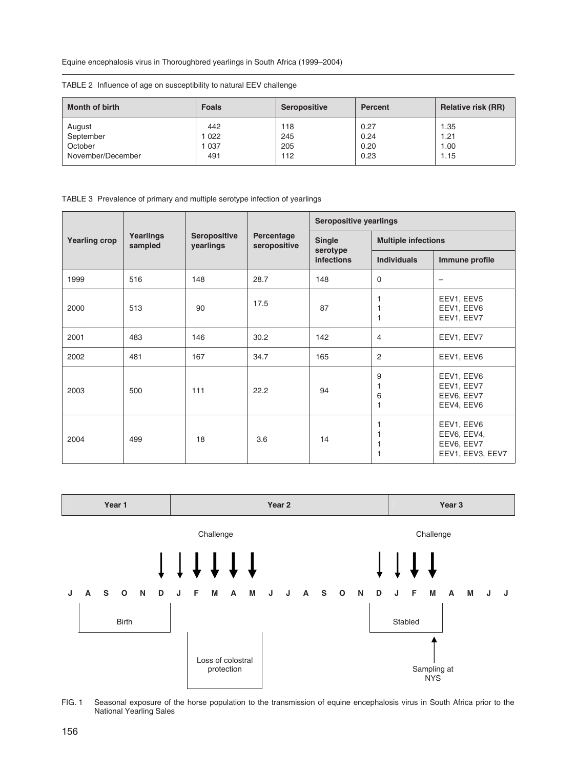Equine encephalosis virus in Thoroughbred yearlings in South Africa (1999–2004)

TABLE 2 Influence of age on susceptibility to natural EEV challenge

| <b>Month of birth</b> | <b>Foals</b> | Seropositive | Percent | Relative risk (RR) |
|-----------------------|--------------|--------------|---------|--------------------|
| August                | 442          | 118          | 0.27    | 1.35               |
| September             | 1 022        | 245          | 0.24    | 1.21               |
| October               | 1037         | 205          | 0.20    | 1.00               |
| November/December     | 491          | 112          | 0.23    | 1.15               |

TABLE 3 Prevalence of primary and multiple serotype infection of yearlings

| <b>Yearling crop</b> | Yearlings<br>sampled | Seropositive<br>yearlings | Percentage<br>seropositive | Seropositive yearlings                  |                            |                                                             |
|----------------------|----------------------|---------------------------|----------------------------|-----------------------------------------|----------------------------|-------------------------------------------------------------|
|                      |                      |                           |                            | Single<br>serotype<br><b>infections</b> | <b>Multiple infections</b> |                                                             |
|                      |                      |                           |                            |                                         | <b>Individuals</b>         | Immune profile                                              |
| 1999                 | 516                  | 148                       | 28.7                       | 148                                     | $\mathbf 0$                | $\overline{\phantom{0}}$                                    |
| 2000                 | 513                  | 90                        | 17.5                       | 87                                      | 1<br>1<br>1                | EEV1, EEV5<br>EEV1, EEV6<br>EEV1, EEV7                      |
| 2001                 | 483                  | 146                       | 30.2                       | 142                                     | $\overline{4}$             | EEV1, EEV7                                                  |
| 2002                 | 481                  | 167                       | 34.7                       | 165                                     | 2                          | EEV1, EEV6                                                  |
| 2003                 | 500                  | 111                       | 22.2                       | 94                                      | 9<br>1<br>6<br>1           | EEV1, EEV6<br>EEV1, EEV7<br>EEV6, EEV7<br>EEV4, EEV6        |
| 2004                 | 499                  | 18                        | 3.6                        | 14                                      | 1<br>1<br>1<br>1           | EEV1, EEV6<br>EEV6, EEV4,<br>EEV6, EEV7<br>EEV1, EEV3, EEV7 |



FIG. 1 Seasonal exposure of the horse population to the transmission of equine encephalosis virus in South Africa prior to the National Yearling Sales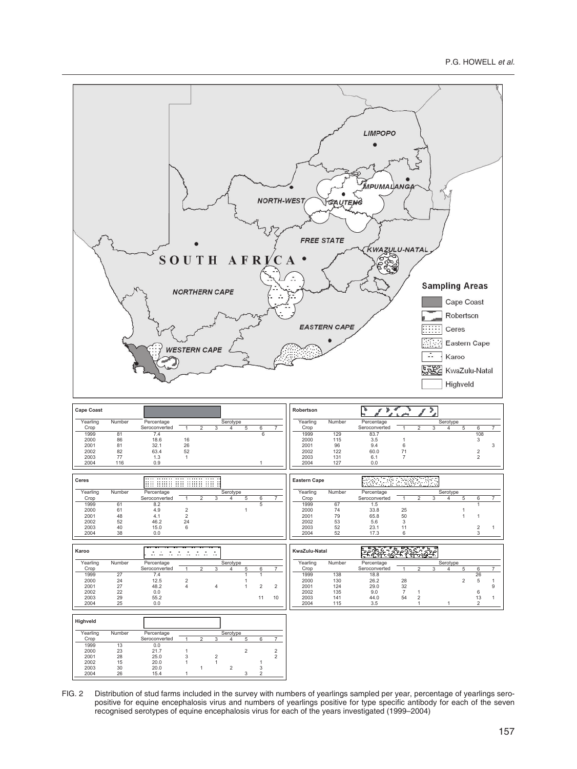

FIG. 2 Distribution of stud farms included in the survey with numbers of yearlings sampled per year, percentage of yearlings seropositive for equine encephalosis virus and numbers of yearlings positive for type specific antibody for each of the seven recognised serotypes of equine encephalosis virus for each of the years investigated (1999–2004)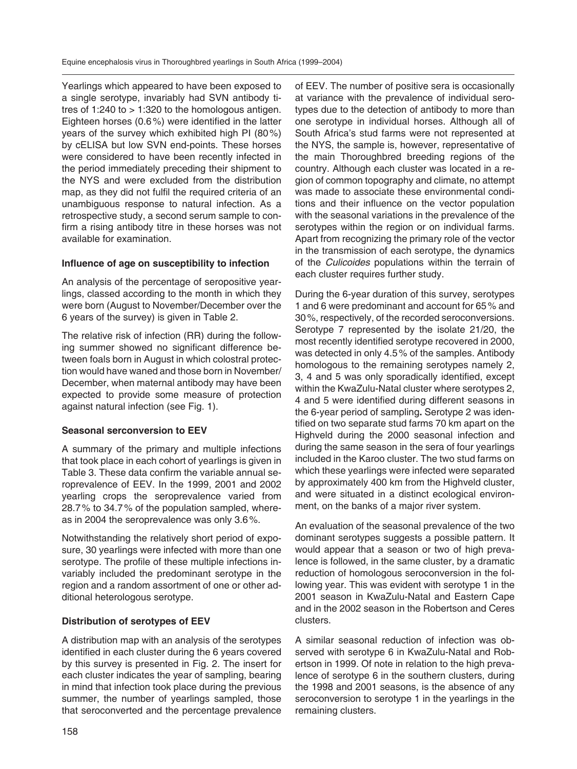Yearlings which appeared to have been exposed to a single serotype, invariably had SVN antibody titres of 1:240 to  $> 1:320$  to the homologous antigen. Eighteen horses (0.6 %) were identified in the latter years of the survey which exhibited high PI (80 %) by cELISA but low SVN end-points. These horses were considered to have been recently infected in the period immediately preceding their shipment to the NYS and were excluded from the distribution map, as they did not fulfil the required criteria of an unambiguous response to natural infection. As a retrospective study, a second serum sample to confirm a rising antibody titre in these horses was not available for examination.

# **Influence of age on susceptibility to infection**

An analysis of the percentage of seropositive yearlings, classed according to the month in which they were born (August to November/December over the 6 years of the survey) is given in Table 2.

The relative risk of infection (RR) during the following summer showed no significant difference between foals born in August in which colostral protection would have waned and those born in November/ December, when maternal antibody may have been expected to provide some measure of protection against natural infection (see Fig. 1).

# **Seasonal serconversion to EEV**

A summary of the primary and multiple infections that took place in each cohort of yearlings is given in Table 3. These data confirm the variable annual seroprevalence of EEV. In the 1999, 2001 and 2002 yearling crops the seroprevalence varied from 28.7 % to 34.7 % of the population sampled, whereas in 2004 the seroprevalence was only 3.6 %.

Notwithstanding the relatively short period of exposure, 30 yearlings were infected with more than one serotype. The profile of these multiple infections invariably included the predominant serotype in the region and a random assortment of one or other additional heterologous serotype.

# **Distribution of serotypes of EEV**

A distribution map with an analysis of the serotypes identified in each cluster during the 6 years covered by this survey is presented in Fig. 2. The insert for each cluster indicates the year of sampling, bearing in mind that infection took place during the previous summer, the number of yearlings sampled, those that seroconverted and the percentage prevalence

of EEV. The number of positive sera is occasionally at variance with the prevalence of individual serotypes due to the detection of antibody to more than one serotype in individual horses. Although all of South Africa's stud farms were not represented at the NYS, the sample is, however, representative of the main Thoroughbred breeding regions of the country. Although each cluster was located in a region of common topography and climate, no attempt was made to associate these environmental conditions and their influence on the vector population with the seasonal variations in the prevalence of the serotypes within the region or on individual farms. Apart from recognizing the primary role of the vector in the transmission of each serotype, the dynamics of the *Culicoides* populations within the terrain of each cluster requires further study.

During the 6-year duration of this survey, serotypes 1 and 6 were predominant and account for 65 % and 30 %, respectively, of the recorded seroconversions. Serotype 7 represented by the isolate 21/20, the most recently identified serotype recovered in 2000, was detected in only 4.5 % of the samples. Antibody homologous to the remaining serotypes namely 2, 3, 4 and 5 was only sporadically identified, except within the KwaZulu-Natal cluster where serotypes 2, 4 and 5 were identified during different seasons in the 6-year period of sampling**.** Serotype 2 was identified on two separate stud farms 70 km apart on the Highveld during the 2000 seasonal infection and during the same season in the sera of four yearlings included in the Karoo cluster. The two stud farms on which these yearlings were infected were separated by approximately 400 km from the Highveld cluster, and were situated in a distinct ecological environment, on the banks of a major river system.

An evaluation of the seasonal prevalence of the two dominant serotypes suggests a possible pattern. It would appear that a season or two of high prevalence is followed, in the same cluster, by a dramatic reduction of homologous seroconversion in the following year. This was evident with serotype 1 in the 2001 season in KwaZulu-Natal and Eastern Cape and in the 2002 season in the Robertson and Ceres clusters.

A similar seasonal reduction of infection was observed with serotype 6 in KwaZulu-Natal and Robertson in 1999. Of note in relation to the high prevalence of serotype 6 in the southern clusters, during the 1998 and 2001 seasons, is the absence of any seroconversion to serotype 1 in the yearlings in the remaining clusters.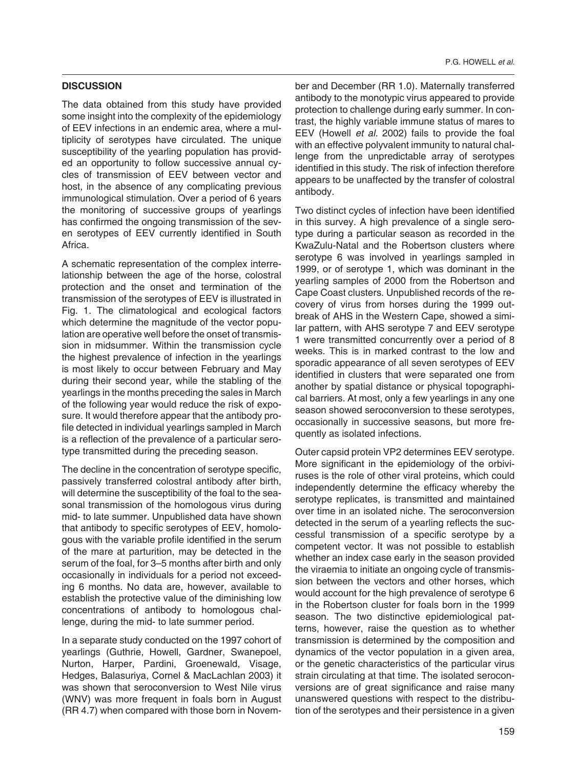#### **DISCUSSION**

The data obtained from this study have provided some insight into the complexity of the epidemiology of EEV infections in an endemic area, where a multiplicity of serotypes have circulated. The unique susceptibility of the yearling population has provided an opportunity to follow successive annual cycles of transmission of EEV between vector and host, in the absence of any complicating previous immunological stimulation. Over a period of 6 years the monitoring of successive groups of yearlings has confirmed the ongoing transmission of the seven serotypes of EEV currently identified in South Africa.

A schematic representation of the complex interrelationship between the age of the horse, colostral protection and the onset and termination of the transmission of the serotypes of EEV is illustrated in Fig. 1. The climatological and ecological factors which determine the magnitude of the vector population are operative well before the onset of transmission in midsummer. Within the transmission cycle the highest prevalence of infection in the yearlings is most likely to occur between February and May during their second year, while the stabling of the yearlings in the months preceding the sales in March of the following year would reduce the risk of exposure. It would therefore appear that the antibody profile detected in individual yearlings sampled in March is a reflection of the prevalence of a particular serotype transmitted during the preceding season.

The decline in the concentration of serotype specific, passively transferred colostral antibody after birth, will determine the susceptibility of the foal to the seasonal transmission of the homologous virus during mid- to late summer. Unpublished data have shown that antibody to specific serotypes of EEV, homologous with the variable profile identified in the serum of the mare at parturition, may be detected in the serum of the foal, for 3–5 months after birth and only occasionally in individuals for a period not exceeding 6 months. No data are, however, available to establish the protective value of the diminishing low concentrations of antibody to homologous challenge, during the mid- to late summer period.

In a separate study conducted on the 1997 cohort of yearlings (Guthrie, Howell, Gardner, Swanepoel, Nurton, Harper, Pardini, Groenewald, Visage, Hedges, Balasuriya, Cornel & MacLachlan 2003) it was shown that seroconversion to West Nile virus (WNV) was more frequent in foals born in August (RR 4.7) when compared with those born in November and December (RR 1.0). Maternally transferred antibody to the monotypic virus appeared to provide protection to challenge during early summer. In contrast, the highly variable immune status of mares to EEV (Howell *et al.* 2002) fails to provide the foal with an effective polyvalent immunity to natural challenge from the unpredictable array of serotypes identified in this study. The risk of infection therefore appears to be unaffected by the transfer of colostral antibody.

Two distinct cycles of infection have been identified in this survey. A high prevalence of a single serotype during a particular season as recorded in the KwaZulu-Natal and the Robertson clusters where serotype 6 was involved in yearlings sampled in 1999, or of serotype 1, which was dominant in the yearling samples of 2000 from the Robertson and Cape Coast clusters. Unpublished records of the recovery of virus from horses during the 1999 outbreak of AHS in the Western Cape, showed a similar pattern, with AHS serotype 7 and EEV serotype 1 were transmitted concurrently over a period of 8 weeks. This is in marked contrast to the low and sporadic appearance of all seven serotypes of EEV identified in clusters that were separated one from another by spatial distance or physical topographical barriers. At most, only a few yearlings in any one season showed seroconversion to these serotypes, occasionally in successive seasons, but more frequently as isolated infections.

Outer capsid protein VP2 determines EEV serotype. More significant in the epidemiology of the orbiviruses is the role of other viral proteins, which could independently determine the efficacy whereby the serotype replicates, is transmitted and maintained over time in an isolated niche. The seroconversion detected in the serum of a yearling reflects the successful transmission of a specific serotype by a competent vector. It was not possible to establish whether an index case early in the season provided the viraemia to initiate an ongoing cycle of transmission between the vectors and other horses, which would account for the high prevalence of serotype 6 in the Robertson cluster for foals born in the 1999 season. The two distinctive epidemiological patterns, however, raise the question as to whether transmission is determined by the composition and dynamics of the vector population in a given area, or the genetic characteristics of the particular virus strain circulating at that time. The isolated seroconversions are of great significance and raise many unanswered questions with respect to the distribution of the serotypes and their persistence in a given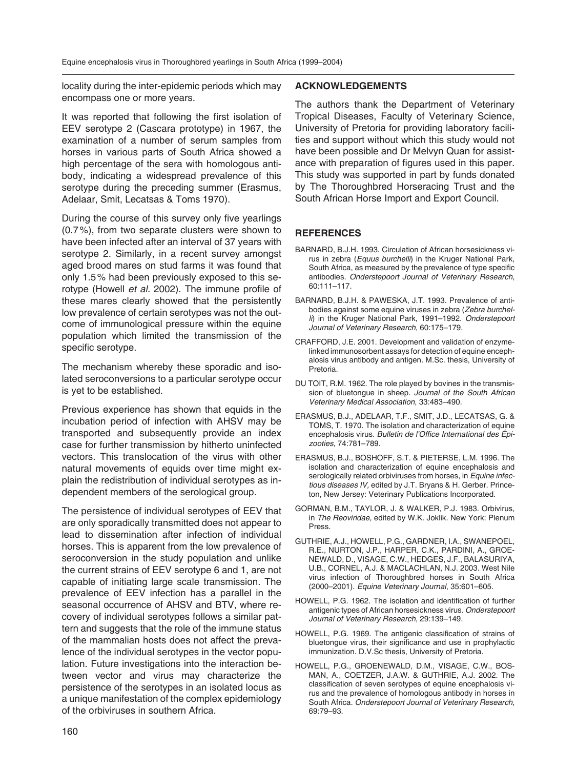locality during the inter-epidemic periods which may encompass one or more years.

It was reported that following the first isolation of EEV serotype 2 (Cascara prototype) in 1967, the examination of a number of serum samples from horses in various parts of South Africa showed a high percentage of the sera with homologous antibody, indicating a widespread prevalence of this serotype during the preceding summer (Erasmus, Adelaar, Smit, Lecatsas & Toms 1970).

During the course of this survey only five yearlings (0.7 %), from two separate clusters were shown to have been infected after an interval of 37 years with serotype 2. Similarly, in a recent survey amongst aged brood mares on stud farms it was found that only 1.5 % had been previously exposed to this serotype (Howell *et al.* 2002). The immune profile of these mares clearly showed that the persistently low prevalence of certain serotypes was not the outcome of immunological pressure within the equine population which limited the transmission of the specific serotype.

The mechanism whereby these sporadic and isolated seroconversions to a particular serotype occur is yet to be established.

Previous experience has shown that equids in the incubation period of infection with AHSV may be transported and subsequently provide an index case for further transmission by hitherto uninfected vectors. This translocation of the virus with other natural movements of equids over time might explain the redistribution of individual serotypes as independent members of the serological group.

The persistence of individual serotypes of EEV that are only sporadically transmitted does not appear to lead to dissemination after infection of individual horses. This is apparent from the low prevalence of seroconversion in the study population and unlike the current strains of EEV serotype 6 and 1, are not capable of initiating large scale transmission. The prevalence of EEV infection has a parallel in the seasonal occurrence of AHSV and BTV, where recovery of individual serotypes follows a similar pattern and suggests that the role of the immune status of the mammalian hosts does not affect the prevalence of the individual serotypes in the vector population. Future investigations into the interaction between vector and virus may characterize the persistence of the serotypes in an isolated locus as a unique manifestation of the complex epidemiology of the orbiviruses in southern Africa.

#### **ACKNOWLEDGEMENTS**

The authors thank the Department of Veterinary Tropical Diseases, Faculty of Veterinary Science, University of Pretoria for providing laboratory facilities and support without which this study would not have been possible and Dr Melvyn Quan for assistance with preparation of figures used in this paper. This study was supported in part by funds donated by The Thoroughbred Horseracing Trust and the South African Horse Import and Export Council.

# **REFERENCES**

- BARNARD, B.J.H. 1993. Circulation of African horsesickness virus in zebra (*Equus burchelli*) in the Kruger National Park, South Africa, as measured by the prevalence of type specific antibodies. *Onderstepoort Journal of Veterinary Research*, 60:111–117.
- BARNARD, B.J.H. & PAWESKA, J.T. 1993. Prevalence of antibodies against some equine viruses in zebra (*Zebra burchelli*) in the Kruger National Park, 1991–1992. *Onderstepoort Journal of Veterinary Research*, 60:175–179.
- CRAFFORD, J.E. 2001. Development and validation of enzymelinked immunosorbent assays for detection of equine encephalosis virus antibody and antigen. M.Sc. thesis, University of Pretoria.
- DU TOIT, R.M. 1962. The role played by bovines in the transmission of bluetongue in sheep. *Journal of the South African Veterinary Medical Association*, 33:483–490.
- ERASMUS, B.J., ADELAAR, T.F., SMIT, J.D., LECATSAS, G. & TOMS, T. 1970. The isolation and characterization of equine encephalosis virus. *Bulletin de l'Office International des Épizoo ties*, 74:781–789.
- ERASMUS, B.J., BOSHOFF, S.T. & PIETERSE, L.M. 1996. The isolation and characterization of equine encephalosis and serologically related orbiviruses from horses, in *Equine infectious diseases IV,* edited by J.T. Bryans & H. Gerber. Princeton, New Jersey: Veterinary Publications Incorporated.
- GORMAN, B.M., TAYLOR, J. & WALKER, P.J. 1983. Orbivirus, in *The Reoviridae,* edited by W.K. Joklik. New York: Plenum Press.
- GUTHRIE, A.J., HOWELL, P.G., GARDNER, I.A., SWANEPOEL, R.E., NURTON, J.P., HARPER, C.K., PARDINI, A., GROE-NE WALD, D., VISAGE, C.W., HEDGES, J.F., BALASURIYA, U.B., CORNEL, A.J. & MACLACHLAN, N.J. 2003. West Nile virus infection of Thoroughbred horses in South Africa (2000–2001). *Equine Veterinary Journal*, 35:601–605.
- HOWELL, P.G. 1962. The isolation and identification of further antigenic types of African horsesickness virus. *Onderstepoort Journal of Veterinary Research*, 29:139–149.
- HOWELL, P.G. 1969. The antigenic classification of strains of bluetongue virus, their significance and use in prophylactic immunization. D.V.Sc thesis, University of Pretoria.
- HOWELL, P.G., GROENEWALD, D.M., VISAGE, C.W., BOS-MAN, A., COETZER, J.A.W. & GUTHRIE, A.J. 2002. The classification of seven serotypes of equine encephalosis virus and the prevalence of homologous antibody in horses in South Africa. *Onderstepoort Journal of Veterinary Research*, 69:79–93.